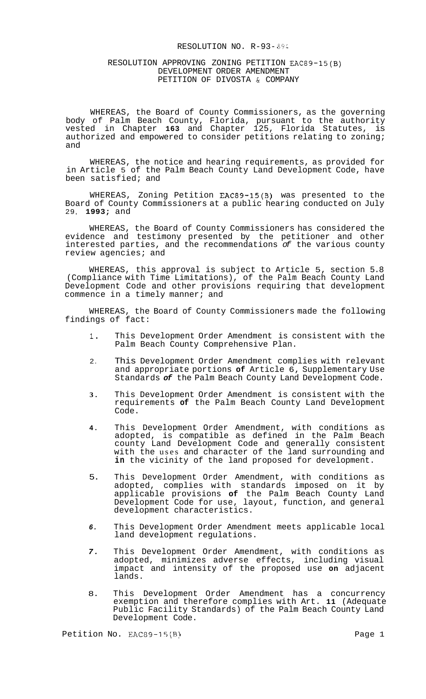## RESOLUTION NO. R-93- *89.:*

# RESOLUTION APPROVING ZONING PETITION EAC89-15(B) DEVELOPMENT ORDER AMENDMENT PETITION OF DIVOSTA & COMPANY

WHEREAS, the Board of County Commissioners, as the governing body of Palm Beach County, Florida, pursuant to the authority vested in Chapter **163** and Chapter 125, Florida Statutes, is authorized and empowered to consider petitions relating to zoning; and

WHEREAS, the notice and hearing requirements, as provided for in Article 5 of the Palm Beach County Land Development Code, have been satisfied; and

WHEREAS, Zoning Petition EAC89-15(B) was presented to the Board of County Commissioners at a public hearing conducted on July 29, **1993;** and

WHEREAS, the Board of County Commissioners has considered the evidence and testimony presented by the petitioner and other interested parties, and the recommendations *of* the various county review agencies; and

WHEREAS, this approval is subject to Article 5, section 5.8 (Compliance with Time Limitations), of the Palm Beach County Land Development Code and other provisions requiring that development commence in a timely manner; and

WHEREAS, the Board of County Commissioners made the following findings of fact:

- **1.** This Development Order Amendment is consistent with the Palm Beach County Comprehensive Plan.
- 2. This Development Order Amendment complies with relevant and appropriate portions **of** Article 6, Supplementary Use Standards *of* the Palm Beach County Land Development Code.
- **3.** This Development Order Amendment is consistent with the requirements **of** the Palm Beach County Land Development Code.
- **4.** This Development Order Amendment, with conditions as adopted, is compatible as defined in the Palm Beach county Land Development Code and generally consistent with the uses and character of the land surrounding and **in** the vicinity of the land proposed for development.
- 5. This Development Order Amendment, with conditions as adopted, complies with standards imposed on it by applicable provisions **of** the Palm Beach County Land Development Code for use, layout, function, and general development characteristics.
- *6.* This Development Order Amendment meets applicable local land development regulations.
- *7.* This Development Order Amendment, with conditions as adopted, minimizes adverse effects, including visual impact and intensity of the proposed use **on** adjacent lands.
- 8. This Development Order Amendment has a concurrency exemption and therefore complies with Art. **11** (Adequate Public Facility Standards) of the Palm Beach County Land Development Code.

Petition No. EAC89-15(B) Petition No. eAC89-15(B)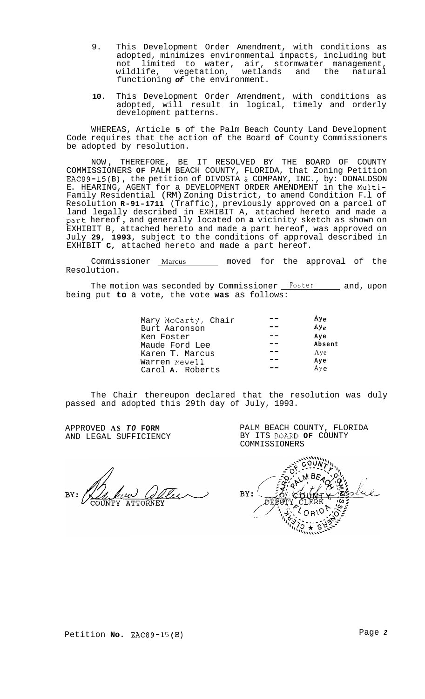- 9. This Development Order Amendment, with conditions as adopted, minimizes environmental impacts, including but not limited to water, air, stormwater management, wildlife, vegetation, wetlands and the natural functioning *of* the environment.
- **10.** This Development Order Amendment, with conditions as adopted, will result in logical, timely and orderly development patterns.

WHEREAS, Article **5** of the Palm Beach County Land Development Code requires that the action of the Board **of** County Commissioners be adopted by resolution.

NOW , THEREFORE, BE IT RESOLVED BY THE BOARD OF COUNTY COMMISSIONERS **OF** PALM BEACH COUNTY, FLORIDA, that Zoning Petition EAC89-15(B), the petition of DIVOSTA **C** COMPANY, INC., by: DONALDSON E. HEARING, AGENT for a DEVELOPMENT ORDER AMENDMENT in the Multi-Family Residential (RM) Zoning District, to amend Condition F.l of Resolution **R-91-1711** (Traffic), previously approved on a parcel of land legally described in EXHIBIT A, attached hereto and made a part hereof , and generally located on **a** vicinity sketch as shown on EXHIBIT B, attached hereto and made a part hereof, was approved on July **29, 1993,** subject to the conditions of approval described in EXHIBIT **C,** attached hereto and made a part hereof.

Commissioner Marcus moved for the approval of the Resolution.

The motion was seconded by Commissioner Foster and, upon being put **to** a vote, the vote **was** as follows:

| Mary McCarty, Chair | $Ay_{\alpha}$ |
|---------------------|---------------|
| Burt Aaronson       | $Ay_e$        |
| Ken Foster          | Ave           |
| Maude Ford Lee      | Absent        |
| Karen T. Marcus     | Aye           |
| Warren Newell       | Aye           |
| Carol A. Roberts    | Aye           |

The Chair thereupon declared that the resolution was duly passed and adopted this 29th day of July, 1993.

APPROVED **AS** *TO* **FORM**  AND LEGAL SUFFICIENCY

PALM BEACH COUNTY, FLORIDA BY ITS **BOARD OF** COUNTY COMMISSIONERS

BY: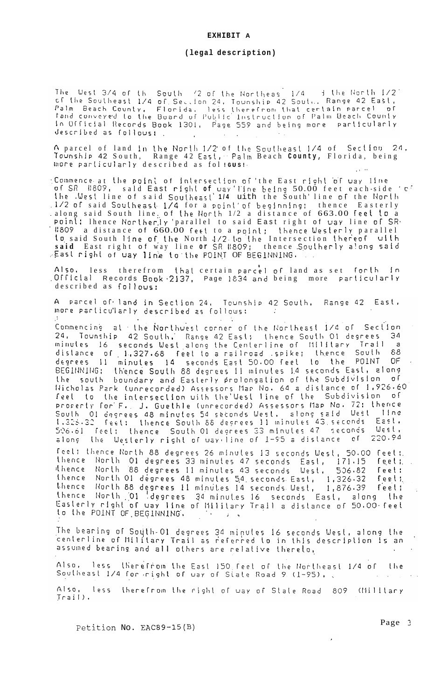### **EXHIBIT A**

### **(legal description)**

The West 3/4 of the South '2 of the Northeas 1/4 3 the North 1/2'<br>of the Southeast 1/4 of Section 24, Tounship 42 Sout, Range 42 East, Palm Beach County, Florida, less therefrom that certain parcel of<br>fand conveyed to the Board of Public Instruction of Palm Beach County<br>In Official Records Book 1301, Page 559 and being more particularly described as followst.

A parcel of land in the North 1/2' of the Southeast 1/4 of Section 24, Tounshlp 42 South, Range 42 East;- Palm Beach **County,** Florida, being  $\text{where}$  particularly described as fol  $\text{I}\text{g}$ us!

..Colnmence. at the Point of **In\ersec\ion** or 'the East rlotlt **'or** *way* 1 Irje or SR i:8O9, sald East right **of** uay'l'ine being 50.00 feet each - side ' c' \he .West line of said Southezst' **1/4** uith the South' line **of** the Idorlt) .1/2 or said Southeast- 1/4 for a poinl'or begjnnlng: thence Easterly . along said South line. of the North 1/2 a distance of 663.00 feet to a poinl: Thence Norther.ly 'parallel to said East right of way line of SR· *.1:809* a distance of 660.00 feet to a point: thence Westerly parallel **to** said South line of the North 1/2 to the Intersection thereof ulth **said** East right of way line **or** SR lt809; thence .S,outherly a!ong said . East right of uay line to the POINT OF BEGINNING.

**Also,** less therefrom thal certain parckl or land as set rorlh In .Official Records Boak.2137, Page 1834 and being more parlicularl~' described as follows:

A parcel of land in Section 24, Tounship 42 South, Range 42 East, more particularly described as follows:  $\sim 10$ **Contractor** 

Commencing at the Northwest corner of the Northeast 1/4 of Section 24, Tounship 42 South, Range 42 East; thence South Ol degrees 34<br>minutes 16 seconds West along the Centerline of Military Trail a<br>distance of 1,327.68 feet to a railroad spike; thence South 88<br>degrees 11 minutes 14 seconds BEGINNING: thence South 88 degrees 11 minutes 14 seconds East, along the south boundary and Easterly prolongation of the Subdivision of The south boundary and easterly prolongation of the subdivision of<br>The south of the intersection with the West line of the Subdivision of<br>Procenty for F. J. Guethle (unrecorded) Assessors Map No. 72: thence<br>South Ol degree 506.61 feel: thence South 01 degrees 33 minutes 47 seconds West, 220.94 the Westerly right of way-line of 1-95 a distance of along

feel: thence North 88 degrees 26 minutes 13 seconds West, 50.00 feet:<br>thence North 01 degrees 33 minutes 47 seconds East, 171.15 feet:<br>thence North 01 degrees 11 minutes 43 seconds West, 506.82 feet:<br>thence North 01 degree thence North 01 degrees 34 minutes 16 seconds East, along the<br>Easterly right of way line of Military Trail a distance of 50.00 feet to the POINT OF BEGINNING.

The bearing of South-Ol degrees 34 minutes 16 seconds West, along the<br>centerline of Military Trail as referred to in this description is an assumed bearing and all others are relative thereto,

Also. less therefrom the East 150 feet of the Northeast 1/4 of the Southeast 1/4 for right of way of State Road 9 (1-95),

Also, less therefrom the right of way of State Road 809 (Milltary  $Jrail$ .

Petition No. EAC89-15(B) **Page 2**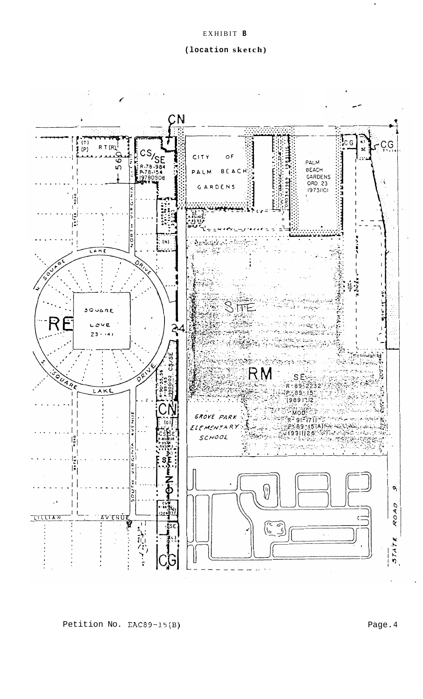# **(location sketch)**



Petition No. EAC89-15(B) **Page. 4** Page. 4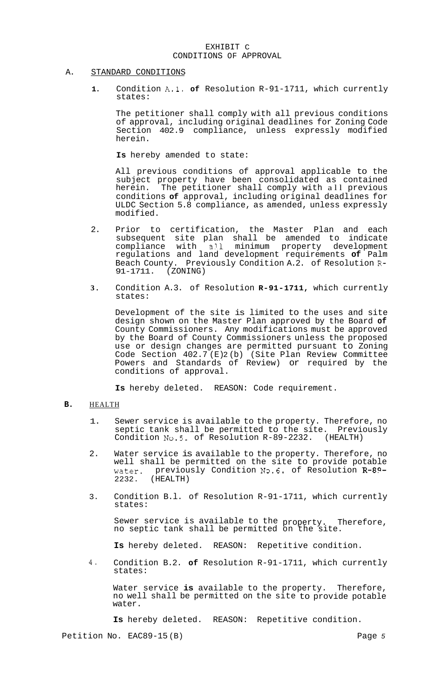# EXHIBIT C CONDITIONS OF APPROVAL

# A. STANDARD CONDITIONS

**1.** Condition A.1. **of** Resolution R-91-1711, which currently states:

The petitioner shall comply with all previous conditions of approval, including original deadlines for Zoning Code Section 402.9 compliance, unless expressly modified herein.

**Is** hereby amended to state:

All previous conditions of approval applicable to the subject property have been consolidated as contained<br>herein. The petitioner shall comply with all previous The petitioner shall comply with all previous conditions **of** approval, including original deadlines for ULDC Section 5.8 compliance, as amended, unless expressly modified.

- 2. Prior to certification, the Master Plan and each subsequent site plan shall be amended to indicate compliance with a?.l minimum property development regulations and land development requirements **of** Palm Beach County. Previously Condition A.2. of Resolution **R-**91-1711. (ZONING)
- **3.** Condition A.3. of Resolution **R-91-1711,** which currently states:

Development of the site is limited to the uses and site design shown on the Master Plan approved by the Board **of**  County Commissioners. Any modifications must be approved by the Board of County Commissioners unless the proposed use or design changes are permitted pursuant to Zoning Code Section 402.7(E)2(b) (Site Plan Review Committee Powers and Standards of Review) or required by the conditions of approval.

**Is** hereby deleted. REASON: Code requirement.

# **B.** HEALTH

- 1. Sewer service is available to the property. Therefore, no septic tank shall be permitted to the site. Previously Condition **No.5.** of Resolution R-89-2232. (HEALTH)
- 2. Water service is available to the property. Therefore, no well shall be permitted on the site to provide potable water. previously Condition No.6. of Resolution **R-89-**  2232. (HEALTH)
- 3. Condition B.l. of Resolution R-91-1711, which currently states:

Sewer service is available to the property. Therefore, no septic tank shall be permitted on the site.

**Is** hereby deleted. REASON: Repetitive condition.

**4.** Condition B.2. **of** Resolution R-91-1711, which currently states:

Water service **is** available to the property. Therefore, no well shall be permitted on the site to provide potable water.

**Is** hereby deleted. REASON: Repetitive condition.

Petition No. EAC89-15 (B) Page 5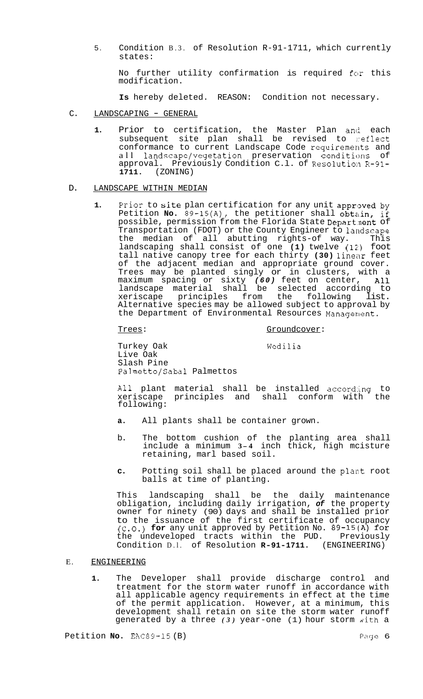5. Condition B.3. of Resolution R-91-1711, which currently states:

No further utility confirmation is required for this modification.

**Is** hereby deleted. REASON: Condition not necessary.

- C. LANDSCAPING GENERAL
	- 1. Prior to certification, the Master Plan and each subsequent site plan shall be revised to reflect conformance to current Landscape Code requiremerlts and all landscape/vegetation preservation conditions of approval. Previously Condition C.1. of Resolution R-91-**1711.** (ZONING)

### D. LANDSCAPE WITHIN MEDIAN

1. Prior to site plan certification for any unit approved by Petition **No.**  $\overline{89-15(A)}$ , the petitioner shall obtain, if possible, permission from the Florida State Department of Transportation (FDOT) or the County Engineer to landscape the median of all abutting rights-of way. This landscaping shall consist of one (1) twelve (12) foot tall native canopy tree for each thirty (30) linear feet of the adjacent median and appropriate ground cover. Trees may be planted singly or in clusters, with a maximum spacing or sixty (60) feet on center, All landscape material shall be selected according to xeriscape principles from the following list. Alternative species may be allowed subject to approval by the Department of Environmental Resources Management.

## Trees: Trees: Groundcover:

Turkey Oak Wedilia Live Oak Slash Pine Palmetto/Sabal Palmettos

All plant material shall be installed according to<br>xeriscape principles and shall conform with the xeriscape principles and shall conform with following:

- **a.** All plants shall be container grown.
- b. The bottom cushion of the planting area shall include a minimum **<sup>3</sup> - <sup>4</sup>**inch thick, high mcisture retaining, marl based soil.
- c. Potting soil shall be placed around the plant root balls at time of planting.

This landscaping shall be the daily maintenance obligation, including daily irrigation, *of* the property owner for ninety (90) days and shall be installed prior to the issuance of the first certificate of occupancy (c.o.) **for** any unit approved by Petition No. 89-15(A) for the undeveloped tracts within the PUD. Previously Condition D.l. of Resolution **R-91-1711.** (ENGINEERING)

# E. ENGINEERING

**1.** The Developer shall provide discharge control and treatment for the storm water runoff in accordance with all applicable agency requirements in effect at the time of the permit application. However, at a minimum, this development shall retain on site the storm water runoff generated by a three (3) year-one (1) hour storm with a

Petition **No.** EAC89-15 (B) **Page 6** Page 6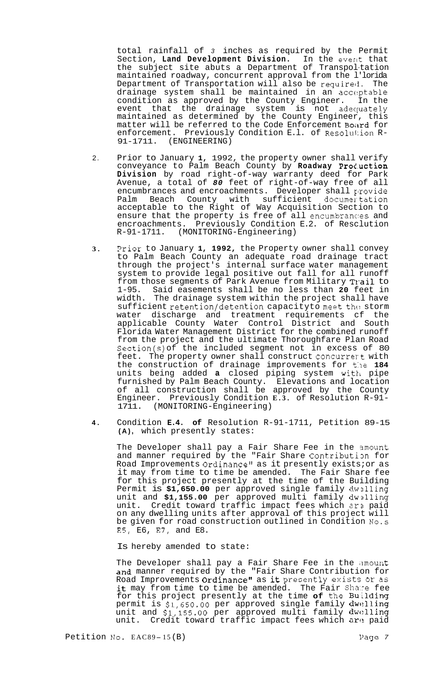total rainfall of *3* inches as required by the Permit Section, **Land Development Division.** In the everlt that the subject site abuts a Department of Transpol-tation maintained roadway, concurrent approval from the l'lorida<br>Department of Transportation will also be required. The Department of Transportation will also be required. drainage system shall be maintained in an acceptable condition as approved by the County Engineer. In the event that the drainage system is not adequately maintained as determined by the County Engineer, this matter will be referred to the Code Enforcement Board for enforcement. Previously Condition E.l. of Resolution R-<br>91-1711. (ENGINEERING)

- 2. Prior to January **1,** 1992, the property owner shall verify conveyance to Palm Beach County by **Roadway Prod.uction Division** by road right-of-way warranty deed for Park Avenue, a total of *80* feet of right-of-way free of all encumbrances and encroachments. Developer shall provide Palm Beach County with sufficient documer tation acceptable to the Right of Way Acquisition Section to ensure that the property is free of all encumbrances and encroachments. Previously Condition E.2. of Resclution R-91-1711. (MONITORING-Engineering) (MONITORING-Engineering)
- **3.** Frior to January **1, 1992,** the Property owner shall convey to Palm Beach County an adequate road drainage tract through the project's internal surface water management system to provide legal positive out fall for all runoff from those segments of Park Avenue from Military Trail to 1-95. Said easements shall be no less than **20** feet in The drainage system within the project shall have  $s$ ufficient retention/detention capacityto meet the storm water discharge and treatment requirements cf the applicable County Water Control District and South Florida Water Management District for the combined runoff from the project and the ultimate Thoroughfare Plan Road Section(s) of the included segment not in excess of 80 feet. The property owner shall construct concurrert with the construction of drainage improvements for the 184 units being added a closed piping system with pipe furnished by Palm Beach County. Elevations and location of all construction shall be approved by the County Engineer. Previously Condition **E.3.** of Resolution R-91- 1711. (MONITORING-Engineering)
- **4.** Condition **E.4. of** Resolution R-91-1711, Petition 89-15 **(A),** which presently states:

The Developer shall pay a Fair Share Fee in the 3mount and manner required by the "Fair Share Contribution for Road Improvements Ordinance" as it presently exists; or as it may from time to time be amended. The Fair Share fee for this project presently at the time of the Building Permit is **\$1,650.00** per approved single family dw2lling unit and **\$1,155.00** per approved multi family dwzlling unit. Credit toward traffic impact fees which ar? paid on any dwelling units after approval of this project will be given for road construction outlined in Condition No.s E5, E6, E7, and E8.

Is hereby amended to state:

The Developer shall pay a Fair Share Fee in the amount and manner required by the "Fair Share Contribution for Road Improvements Ordinance" as it presently exists or as it may from time to time be amended. The Fair Share fee for this project presently at the time **of** the Bu.ilding permit is **\$1,650.00** per approved single family dwl:lling unit and **\$1,155.00** per approved multi family dwc?lling unit. Credit toward traffic impact fees which are paid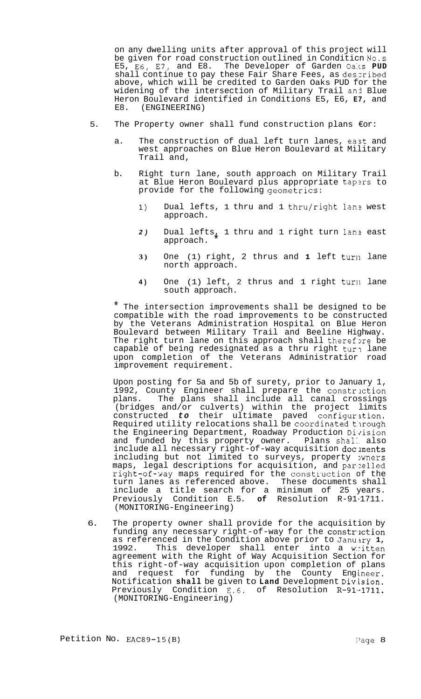on any dwelling units after approval of this project will be given for road construction outlined in Conditicn **No.s**  The Developer of Garden Oaks PUD shall continue to pay these Fair Share Fees, as deszribed above, which will be credited to Garden Oaks PUD for the widening of the intersection of Military Trail and Blue Heron Boulevard identified in Conditions E5, E6, **E7,** and E8. (ENGINEERING)

- 5. The Property owner shall fund construction plans €or:
	- a. The construction of dual left turn lanes, east and west approaches on Blue Heron Boulevard at Military Trail and,
	- b. Right turn lane, south approach on Military Trail at Blue Heron Boulevard plus appropriate tap2rs to provide for the following geometrics:
		- 1) Dual lefts, 1 thru and 1 thru/right lan? west approach.
		- 2) Dual lefts, 1 thru and 1 right turn lane east approach.
		- **3)** One (1) right, 2 thrus and **1** left turn lane north approach.
		- 4) One (1) left, 2 thrus and 1 right turn lane south approach.

The intersection improvements shall be designed to be compatible with the road improvements to be constructed by the Veterans Administration Hospital on Blue Heron Boulevard between Military Trail and Beeline Highway. The right turn lane on this approach shall therefore be capable of being redesignated as a thru right tura lane upon completion of the Veterans Administratior road improvement requirement.

Upon posting for 5a and 5b of surety, prior to January 1, 1992, County Engineer shall prepare the constrlction plans. The plans shall include all canal crossings (bridges and/or culverts) within the project limits constructed to their ultimate paved configuration. Required utility relocations shall be coordinated through the Engineering Department, Roadway Production Division and funded by this property owner. Plans shall also include all necessary right-of-way acquisition documents including but not limited to surveys, property wners maps, legal descriptions for acquisition, and parcelled right-of-way maps required for the construction of the turn lanes as referenced above. These documents shall include a title search for a minimum of 25 years. Previously Condition E.5. **of** Resolution R-91-1711. (MONITORING-Engineering)

6. The property owner shall provide for the acquisition by funding any necessary right-of-way for the construction as referenced in the Condition above prior to January 1, 1992. This developer shall enter into a written agreement with the Right of Way Acquisition Section for this right-of-way acquisition upon completion of plans and request for funding by the County Engineer. Notification **shall** be given to **Land** Development **Division.**  Previously Condition E.6. of Resolution R-91-1711. (MONITORING-Engineering)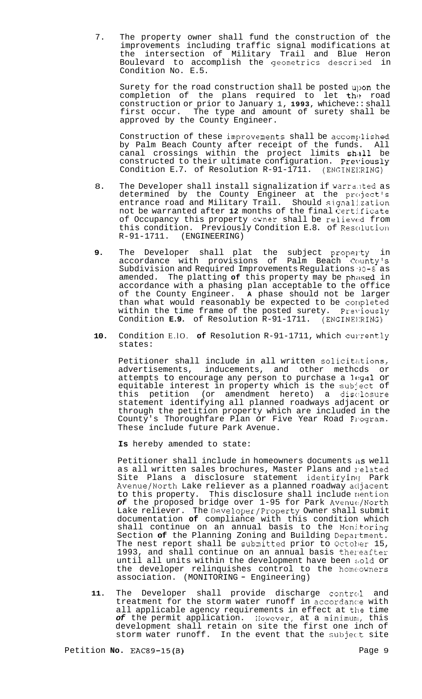7. The property owner shall fund the construction of the improvements including traffic signal modifications at the intersection of Military Trail and Blue Heron Boulevard to accomplish the geometrics described in Condition No. E.5.

Surety for the road construction shall be posted upon the completion of the plans required to let the road construction or prior to January 1, **1993,** whicheve:: shall first occur. The type and amount of surety shall be approved by the County Engineer.

Construction of these improveaents shall be accomyllished by Palm Beach County after receipt of the funds. All canal crossings within the project limits shall be constructed to their ultimate configuration. Previously Condition E.7. of Resolution R-91-1711. (ENG1NEI:RING)

- 8. The Developer shall install signalization if warranted as determined by the County Engineer at the project's entrance road and Military Trail. Should signalj.zation not be warranted after 12 months of the final Certificate of Occupancy this property owner shall be relieved from this condition. Previously Condition E.8. of Rescllution R-91-1711. (ENGINEERING)
- **9.** The Developer shall plat the subject property in accordance with provisions of Palm Beach Ccunty's Subdivision and Required Improvements Regulations **'30-8** as amended. The platting of this property may be phased in accordance with a phasing plan acceptable to the office of the County Engineer. **A** phase should not be larger than what would reasonably be expected to be completed within the time frame of the posted surety. Previously Condition **E.9.** of Resolution R-91-1711. (ENG1NEI:RING)
- 10. Condition E.10. of Resolution R-91-1711, which culrently states:

Petitioner shall include in all written solicitations, advertisements, inducements, and other methcds or attempts to encourage any person to purchase a legal or equitable interest in property which is the subject of this petition (or amendment hereto) a disc:losure statement identifying all planned roadways adjacent or through the petition property which are included in the County's Thoroughfare Plan or Five Year Road Program. These include future Park Avenue.

**Is** hereby amended to state:

Petitioner shall include in homeowners documents *is* well as all written sales brochures, Master Plans and related Site Plans a disclosure statement identifying Park Avenue/North Lake reliever as a planned roadway acljacent to this property. This disclosure shall include mention *of* the proposed bridge over 1-95 for Park Avenuc:/North Lake reliever. The Developer/Property Owner shall submit documentation **of** compliance with this condition which shall continue on an annual basis to the Monj.toring Section of the Planning Zoning and Building Department. The nest report shall be submitted prior to October 15, 1993, and shall continue on an annual basis thereafter until all units within the development have been sold or the developer relinquishes control to the homeowners association. (MONITORING - Engineering)

11. The Developer shall provide discharge control and treatment for the storm water runoff in accordance with all applicable agency requirements in effect at the time of the permit application. However, at a minimum, this development shall retain on site the first one inch of storm water runoff. In the event that the subject site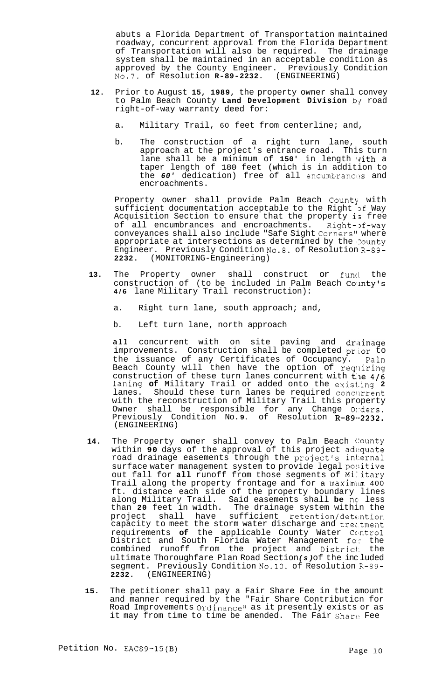abuts a Florida Department of Transportation maintained roadway, concurrent approval from the Florida Department of Transportation will also be required. The drainage system shall be maintained in an acceptable condition as approved by the County Engineer. Previously Condition No.7. of Resolution R-89-2232. (ENGINEERING) No.7. of Resolution **R-89-2232.** 

- **12.** Prior to August **15, 1989,** the property owner shall convey to Palm Beach County Land Development Division by road right-of-way warranty deed for:
	- a. Military Trail, 60 feet from centerline; and,
	- b. The construction of a right turn lane, south approach at the project's entrance road. This turn lane shall be a minimum of 150' in length with a taper length of 180 feet (which is in addition to the *60'* dedication) free of all encumbrances and encroachments.

Property owner shall provide Palm Beach County with sufficient documentation acceptable to the Right of Way Acquisition Section to ensure that the property is free of all encumbrances and encroachments. Right->f-way conveyances shall also include "Safe Sight Corners" where appropriate at intersections as determined by the County Engineer. Previously Condition No.8. of Resolution **R-89- 2232.** (MONITORING-Engineering)

- **13.** The Property owner shall construct or funcl the construction of (to be included in Palm Beach County's **4/6** lane Military Trail reconstruction):
	- a. Right turn lane, south approach; and,
	- b. Left turn lane, north approach

all concurrent with on site paving and drainage improvements. Construction shall be completed prior to the issuance of any Certificates of Occupancy. Palm Beach County will then have the option of requiring construction of these turn lanes concurrent with  $\hat{t}$ :le  $4/6$ laning **of** Military Trail or added onto the exist.ing **2**  lanes. Should these turn lanes be required concurrent with the reconstruction of Military Trail this property Owner shall be responsible for any Change Onders. Previously Condition No.9. of Resolution R-89 .2232. (ENGINEERING)

- 14. The Property owner shall convey to Palm Beach County within **90** days of the approval of this project adequate road drainage easements through the project's internal surface water management system to provide legal positive out fall for all runoff from those segments of Military Trail along the property frontage and for a maximum 400 ft. distance each side of the property boundary lines along Military Trail. Said easements shall **be** nc' less than **20** feet in width. The drainage system within the project shall have sufficient retention/detc:ntion capacity to meet the storm water discharge and treztment requirements of the applicable County Water Control District and South Florida Water Management fo.r the combined runoff from the project and District: the ultimate Thoroughfare Plan Road Section *(s)* of the inc luded segment. Previously Condition No.10. of Resolution **R-89- 2232.** (ENGINEERING)
- **15.** The petitioner shall pay a Fair Share Fee in the amount and manner required by the "Fair Share Contributicn for Road Improvements Ordinance" as it presently exists or as it may from time to time be amended. The Fair Share Fee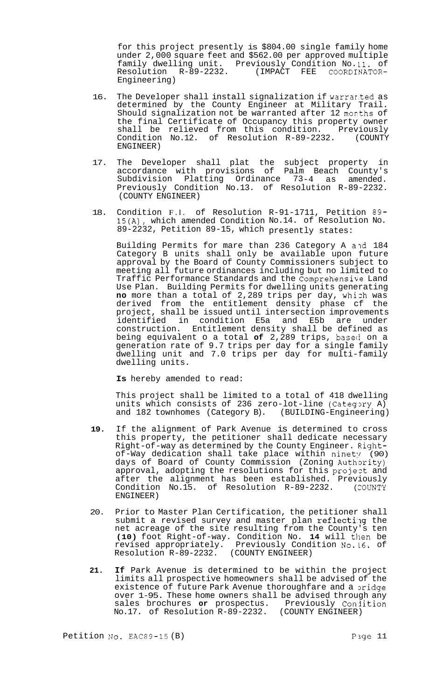for this project presently is \$804.00 single family home under 2,000 square feet and \$562.00 per approved multiple family dwelling unit. Previously Condition No. **11.** of Resolution R-89-2232. (IMPACT FEE COORDINATOR-Engineering)

- 16. The Developer shall install signalization if warrar.ted as determined by the County Engineer at Military Trail. Should signalization not be warranted after 12 morths of the final Certificate of Occupancy this property owner shall be relieved from this condition. Previously Condition No.12. of Resolution R-89-2232. (COUNTY ENGINEER)
- 17. The Developer shall plat the subject property in accordance with provisions of Palm Beach County's Subdivision Platting Ordinance 73-4 as amended. Previously Condition No.13. of Resolution R-89-2232. (COUNTY ENGINEER)
- 18. Condition F.l. of Resolution R-91-1711, Petition 89- 15(A), which amended Condition No.14. of Resolution No. 89-2232, Petition 89-15, which presently states:

Building Permits for mare than 236 Category A and 184 Category B units shall only be available upon future approval by the Board of County Commissioners subject to meeting all future ordinances including but no limited to Traffic Performance Standards and the Comprehensike Land Use Plan. Building Permits for dwelling units generating **no** more than a total of 2,289 trips per day, whizh was derived from the entitlement density phase cf the project, shall be issued until intersection improvements identified in condition E5a and E5b are under construction. Entitlement density shall be defined as being equivalent o a total of 2,289 trips, based on a generation rate of 9.7 trips per day for a single family dwelling unit and 7.0 trips per day for multi-family dwelling units.

**Is** hereby amended to read:

This project shall be limited to a total of 418 dwelling units which consists of 236 zero-lot-line (Category A) and 182 townhomes (Category B). (BUILDING-Engineering) and 182 townhomes (Category B).

- **19.** If the alignment of Park Avenue is determined to cross this property, the petitioner shall dedicate necessary Right-of-way as determined by the County Engineer. Rightof-Way dedication shall take place within ninety (90) days of Board of County Commission (Zoning Authority) approval, adopting the resolutions for this projezt and after the alignment has been established. Previously Condition No.15. of Resolution R-89-2232. (COUNTY ENGINEER)
- 20. Prior to Master Plan Certification, the petitioner shall submit a revised survey and master plan reflecting the net acreage of the site resulting from the County's ten **(10)** foot Right-of-way. Condition No. 14 will then be revised appropriately. Previously Condition No.L6. of Resolution R-89-2232. (COUNTY ENGINEER)
- **21. If** Park Avenue is determined to be within the project limits all prospective homeowners shall be advised of the existence of future Park Avenue thoroughfare and a pridge over 1-95. These home owners shall be advised through any sales brochures or prospectus. Previously Conjition<br>No.17. of Resolution R-89-2232. (COUNTY ENGINEER) No.17. of Resolution R-89-2232.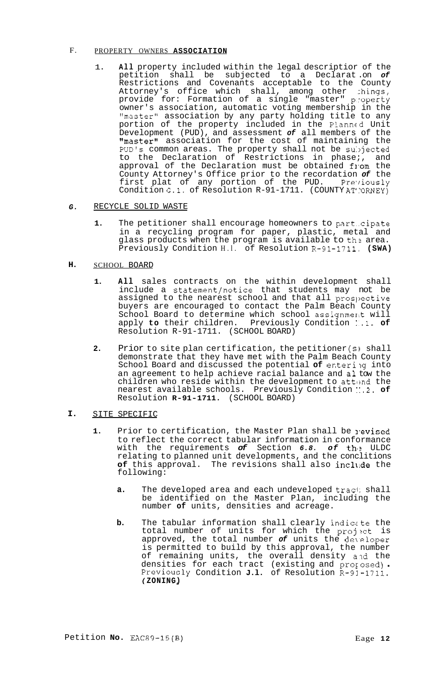#### F. PROPERTY OWNERS **ASSOCIATION**

1. **All** property included within the legal descriptior of the petition shall be subjected to a Declarat .on *of*  Restrictions and Covenants acceptable to the County Attorney's office which shall, among other :hings, provide for: Formation of a single "master" property owner's association, automatic voting membership in the "master1' association by any party holding title to any portion of the property included in the Planncd Unit Development (PUD), and assessment *of* all members of the "master" association for the cost of maintaining the PUD's common areas. The property shall not be subjected to the Declaration of Restrictions in phase;, and approval of the Declaration must be obtained from the County Attorney's Office prior to the recordation *of* the first plat of any portion of the PUD. Previously Condition **G.1.** of Resolution R-91-1711. (COUNTY AT'?ORNEY)

#### *G.*  RECYCLE SOLID WASTE

**1.** The petitioner shall encourage homeowners to part..cipate in a recycling program for paper, plastic, metal and glass products when the program is available to the area. Previously Condition H.l. of Resolution R-91-1711. **(SWA)** 

#### **H.**  SCHOOL BOARD

- **1. All** sales contracts on the within development shall include a statement/notice that students may not be assigned to the nearest school and that all prospective buyers are encouraged to contact the Palm Beach County School Board to determine which school assignmerlt will apply **to** their children. Previously Condition 1.1. **of**  Resolution R-91-1711. (SCHOOL BOARD)
- **2.** Prior to site plan certification, the petitioner *(s)* shall demonstrate that they have met with the Palm Beach County School Board and discussed the potential **of** enterilg into an agreement to help achieve racial balance and a1 tow the children who reside within the development to attend the nearest available schools. Previously Condition **::.2. of**  Resolution **R-91-1711.** (SCHOOL BOARD)
- **I.**  SITE SPECIFIC
	- 1. Prior to certification, the Master Plan shall be revised to reflect the correct tabular information in conformance with the requirements of Section 6.8. of the ULDC relating to planned unit developments, and the conclitions of this approval. The revisions shall also include the following:
		- **a.** The developed area and each undeveloped traci: shall be identified on the Master Plan, including the number **of** units, densities and acreage.
		- **b.** The tabular information shall clearly indicate the total number of units for which the project is approved, the total number *of* units the de\.eloper is permitted to build by this approval, the number of remaining units, the overall density and the densities for each tract (existing and prorosed) . Previously Condition **J.l.** of Resolution R-93-1711. f **ZONING)**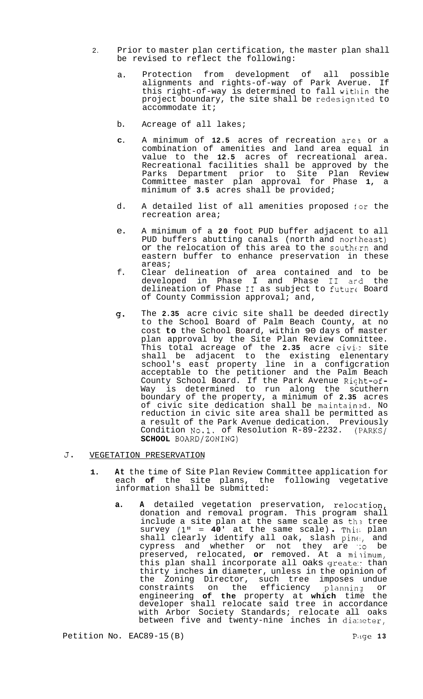- be revised to reflect the following: 2. Prior to master plan certification, the master plan shall
	- a. Protection from development of all possible alignments and rights-of-way of Park Averue. If this right-of-way is determined to fall within the project boundary, the site shall be redesignited to accommodate it;
	- b. Acreage of all lakes;
	- **C.**  A minimum of **12.5** acres of recreation are3 or a combination of amenities and land area equal in value to the **12.5** acres of recreational area. Recreational facilities shall be approved by the Parks Department prior to Site Plan Review Committee master plan approval for Phase **1,** a minimum of **3.5** acres shall be provided;
	- d. A detailed list of all amenities proposed for the recreation area;
	- e. A minimum of a **20** foot PUD buffer adjacent to all PUD buffers abutting canals (north and nort.heast) or the relocation of this area to the southern and eastern buffer to enhance preservation in these areas;
	- f. Clear delineation of area contained and to be developed in Phase I and Phase I1 ard the delineation of Phase I1 as subject to future Board of County Commission approval; and,
	- *g.*  The **2.35** acre civic site shall be deeded directly to the School Board of Palm Beach County, at no cost **to** the School Board, within 90 days of master plan approval by the Site Plan Review Comnittee. This total acreage of the 2.35 acre civid site shall be adjacent to the existing elenentary school's east property line in a configcration acceptable to the petitioner and the Palm Beach County School Board. If the Park Avenue Right-of-Way is determined to run along the scuthern boundary of the property, a minimum of **2.35** acres of civic site dedication shall be maintainzd. No reduction in civic site area shall be permitted as a result of the Park Avenue dedication. Previously Condition No.1. of Resolution R-89-2232. (PARKS/ **SCHOOL** BOARD/ZONING)

# **J.** VEGETATION PRESERVATION

- **1. At** the time of Site Plan Review Committee application for each **of** the site plans, the following vegetative information shall be submitted:
	- **a.** A detailed vegetation preservation, relocation, donation and removal program. This program shall include a site plan at the same scale as the tree survey **(1"** = **40'** at the same scale) . Thi:; plan  $shall$  clearly identify all oak, slash  $pine$ , and cypress and whether or not they are *':o* be preserved, relocated, **or** removed. At a milimum, this plan shall incorporate all oaks greate: than thirty inches **in** diameter, unless in the opinion of the Zoning Director, such tree imposes undue constraints on the efficiency planning or engineering **of the** property at **which** time the developer shall relocate said tree in accordance with Arbor Society Standards; relocate all oaks between five and twenty-nine inches in diameter,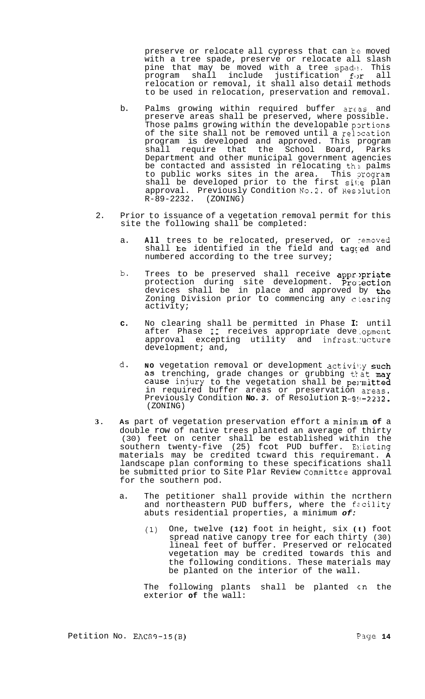preserve or relocate all cypress that can te moved with a tree spade, preserve or relocate all slash pine that may be moved with a tree spade. This program shall include justification f4)r all relocation or removal, it shall also detail methods to be used in relocation, preservation and removal.

- b. Palms growing within required buffer areas and preserve areas shall be preserved, where possible. Those palms growing within the developable portions of the site shall not be removed until a relocation program is developed and approved. This program shall require that the School Board, Parks Department and other municipal government agencies be contacted and assisted in relocating the palms to public works sites in the area. This program shall be developed prior to the first site plan approval. Previously Condition No.2. of Res2lution R-89-2232. (ZONING)
- 2. Prior to issuance of a vegetation removal permit for this site the following shall be completed:
	- a. **All** trees to be relocated, preserved, or removed shall be identified in the field and tagged and numbered according to the tree survey;
	- b. Trees to be preserved shall receive appropriate protection during site development. Protection devices shall be in place and approved by the Zoning Division prior to commencing any clearing activity;
	- **c.** No clearing shall be permitted in Phase **I:** until after Phase II receives appropriate development approval excepting utility and infrast::ucture development; and,
	- d. No vegetation removal or development activity such as trenching, grade changes or grubbing that may cause injury to the vegetation shall be permitted in required buffer areas or preservation areas. Previously Condition No. 3. of Resolution R-8!1-2232. (ZONING)
- **3. AS** part of vegetation preservation effort a minim\*lm **of** a double row of native trees planted an average of thirty (30) feet on center shall be established within the southern twenty-f ive (25) f cot PUD buffer. E>:isting materials may be credited tcward this requiremant. **A**  landscape plan conforming to these specifications shall be submitted prior to Site Plar Review Committee approval for the southern pod.
	- a. The petitioner shall provide within the ncrthern and northeastern PUD buffers, where the facility abuts residential properties, a minimum *of:* 
		- **(1)** One, twelve **(12)** foot in height, six **(t)** foot spread native canopy tree for each thirty (30) lineal feet of buffer. Preserved or relocated vegetation may be credited towards this and the following conditions. These materials may be planted on the interior of the wall.

The following plants shall be planted cn the exterior **of** the wall: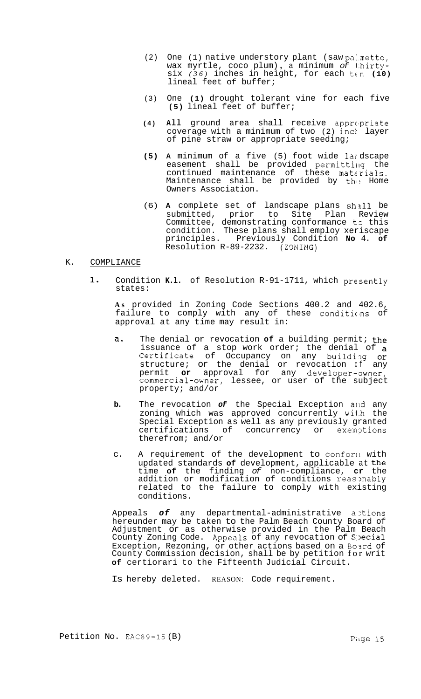- (2) One (1) native understory plant (saw pa:metto, wax myrtle, coco plum) , a minimum *of* 1.hirty- $\sin(36)$  inches in height, for each ten (10) lineal feet of buffer;
- (3) One **(1)** drought tolerant vine for each five **(5)** lineal feet of buffer;
- **(4) All** ground area shall receive apprc'priate coverage with a minimum of two (2) incl layer of pine straw or appropriate seeding;
- **(5) A** minimum of a five (5) foot wide lar dscape easement shall be provided permitting the continued maintenance of these materials. Maintenance shall be provided by the Home Owners Association.
- (6) **A** complete set of landscape plans sh3ll be submitted, prior to Site Plan Review Committee, demonstrating conformance to this condition. These plans shall employ xeriscape principles. Previously Condition **No** 4. **of**  Resolution R-89-2232. (Z9NING)

# K. COMPLIANCE

**1.** Condition **K.l.** of Resolution R-91-1711, which presently states:

**As** provided in Zoning Code Sections 400.2 and 402.6, failure to comply with any of these conditions of approval at any time may result in:

- **a.** The denial or revocation **of** a building permit; the issuance of a stop work order; the denial of a Certificate of Occupancy on any building or structure; or the denial or revocation cf any permit or approval for any developer-owner, commercial-owner, lessee, or user of the subject property; and/or
- **b.** The revocation of the Special Exception and any zoning which was approved concurrently wi1.h the Special Exception as well as any previously granted certifications of concurrency or exemptions therefrom; and/or
- c. A requirement of the development to conforll with updated standards **of** development, applicable at the time **of** the finding *of* non-compliance, **cr** the addition or modification of conditions reas mably related to the failure to comply with existing conditions.

Appeals of any departmental-administrative actions hereunder may be taken to the Palm Beach County Board of Adjustment or as otherwise provided in the Palm Beach County Zoning Code. Appeals of any revocation of Special Exception, Rezoning, or other actions based on a Board of County Commission decision, shall be by petition for writ **of** certiorari to the Fifteenth Judicial Circuit.

Is hereby deleted. REASON: Code requirement.